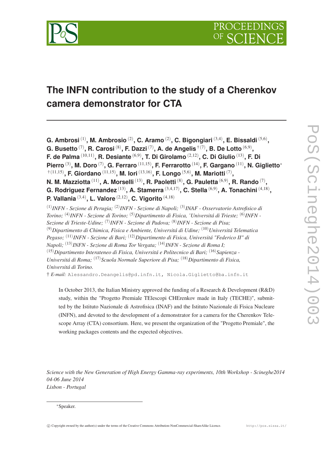

# **The INFN contribution to the study of a Cherenkov camera demonstrator for CTA**

**G. Ambrosi** (1) **, M. Ambrosio** (2) **, C. Aramo** (2) **, C. Bigongiari** (3,4) **, E. Bissaldi** (5,6) **, G. Busetto** (7) **, R. Carosi** (8) **, F. Dazzi** (7) **, A. de Angelis** †(7) **, B. De Lotto** (6,9) **, F. de Palma** (10,11) **, R. Desiante** (6,9) **, T. Di Girolamo** (2,12) **, C. Di Giulio** (13) **, F. Di Pierro** (3) **, M. Doro** (7) **, G. Ferraro** (11,15) **, F. Ferrarotto** (14) **, F. Gargano** (11) **, N. Giglietto**<sup>∗</sup>  $^{\dagger(11,15)}$ , **F. Giordano**  $^{(11,15)}$ , **M. Iori**  $^{(13,16)}$ , **F. Longo**  $^{(5,6)}$ , **M. Mariotti**  $^{(7)}$ , **N. M. Mazziotta** $^{(11)}$ **, A. Morselli** $^{(13)}$ **, R. Paoletti** $^{(8)}$ **, G. Pauletta** $^{(6,9)}$ **, R. Rando** $^{(7)}$ **, G. Rodriguez Fernandez** (13) **, A. Stamerra** (3,4,17) **, C. Stella** (6,9) **, A. Tonachini** (4,18) **, P. Vallania** (3,4) **, L. Valore** (2,12) **, C. Vigorito** (4,18) (1) *INFN - Sezione di Perugia;* (2) *INFN - Sezione di Napoli;* (3) *INAF - Osservatorio Astrofisico di*

*Torino;* (4) *INFN - Sezione di Torino;* (5)*Dipartimento di Fisica, 'Universitá di Trieste;* (6) *INFN - Sezione di Trieste-Udine;* (7) *INFN - Sezione di Padova;* (8) *INFN - Sezione di Pisa;* (9)*Dipartimento di Chimica, Fisica e Ambiente, Universitá di Udine;* (10)*Universitá Telematica Pegaso;* (11) *INFN - Sezione di Bari;* (12)*Dipartimento di Fisica, Universitá "Federico II" di Napoli;* (13) *INFN - Sezione di Roma Tor Vergata;* (14) *INFN - Sezione di Roma I;* (15)*Dipartimento Interateneo di Fisica, Universitá e Politecnico di Bari;* (16)*Sapienza - Universitá di Roma;* (17)*Scuola Normale Superiore di Pisa;* (18)*Dipartimento di Fisica, Universitá di Torino.* † *E-mail:* Alessandro.Deangelis@pd.infn.it, Nicola.Giglietto@ba.infn.it

In October 2013, the Italian Ministry approved the funding of a Research & Development (R&D) study, within the "Progetto Premiale TElescopi CHErenkov made in Italy (TECHE)", submitted by the Istituto Nazionale di Astrofisica (INAF) and the Istituto Nazionale di Fisica Nucleare (INFN), and devoted to the development of a demonstrator for a camera for the Cherenkov Telescope Array (CTA) consortium. Here, we present the organization of the "Progetto Premiale", the working packages contents and the expected objectives.

*Science with the New Generation of High Energy Gamma-ray experiments, 10th Workshop - Scineghe2014 04-06 June 2014 Lisbon - Portugal*

<sup>∗</sup>Speaker.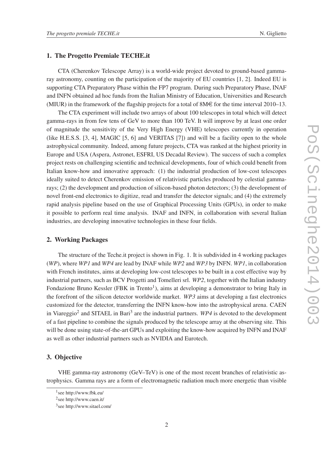### 1. The Progetto Premiale TECHE.it

CTA (Cherenkov Telescope Array) is a world-wide project devoted to ground-based gammaray astronomy, counting on the participation of the majority of EU countries [1, 2]. Indeed EU is supporting CTA Preparatory Phase within the FP7 program. During such Preparatory Phase, INAF and INFN obtained ad hoc funds from the Italian Ministry of Education, Universities and Research (MIUR) in the framework of the flagship projects for a total of  $8M \in$  for the time interval 2010–13.

The CTA experiment will include two arrays of about 100 telescopes in total which will detect gamma-rays in from few tens of GeV to more than 100 TeV. It will improve by at least one order of magnitude the sensitivity of the Very High Energy (VHE) telescopes currently in operation (like H.E.S.S. [3, 4], MAGIC [5, 6] and VERITAS [7]) and will be a facility open to the whole astrophysical community. Indeed, among future projects, CTA was ranked at the highest priority in Europe and USA (Aspera, Astronet, ESFRI, US Decadal Review). The success of such a complex project rests on challenging scientific and technical developments, four of which could benefit from Italian know-how and innovative approach: (1) the industrial production of low-cost telescopes ideally suited to detect Cherenkov emission of relativistic particles produced by celestial gammarays; (2) the development and production of silicon-based photon detectors; (3) the development of novel front-end electronics to digitize, read and transfer the detector signals; and (4) the extremely rapid analysis pipeline based on the use of Graphical Processing Units (GPUs), in order to make it possible to perform real time analysis. INAF and INFN, in collaboration with several Italian industries, are developing innovative technologies in these four fields.

## 2. Working Packages

The structure of the Teche.it project is shown in Fig. 1. It is subdivided in 4 working packages (*WP*), where *WP1* and *WP4* are lead by INAF while *WP2* and *WP3* by INFN. *WP1*, in collaboration with French institutes, aims at developing low-cost telescopes to be built in a cost effective way by industrial partners, such as BCV Progetti and Tomelleri srl. *WP2*, together with the Italian industry Fondazione Bruno Kessler (FBK in Trento<sup>1</sup>), aims at developing a demonstrator to bring Italy in the forefront of the silicon detector worldwide market. *WP3* aims at developing a fast electronics customized for the detector, transferring the INFN know-how into the astrophysical arena. CAEN in Viareggio<sup>2</sup> and SITAEL in Bari<sup>3</sup> are the industrial partners. *WP4* is devoted to the development of a fast pipeline to combine the signals produced by the telescope array at the observing site. This will be done using state-of-the-art GPUs and exploiting the know-how acquired by INFN and INAF as well as other industrial partners such as NVIDIA and Eurotech.

# 3. Objective

VHE gamma-ray astronomy (GeV–TeV) is one of the most recent branches of relativistic astrophysics. Gamma rays are a form of electromagnetic radiation much more energetic than visible

<sup>1</sup> see http://www.fbk.eu/

<sup>&</sup>lt;sup>2</sup> see http://www.caen.it/

<sup>3</sup> see http://www.sitael.com/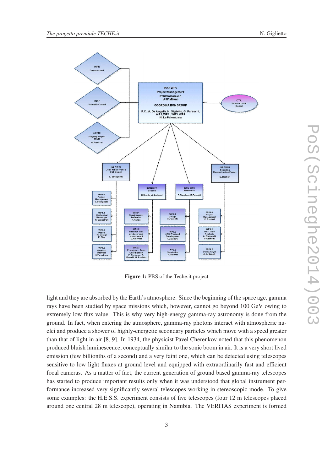

Figure 1: PBS of the Teche.it project

light and they are absorbed by the Earth's atmosphere. Since the beginning of the space age, gamma rays have been studied by space missions which, however, cannot go beyond 100 GeV owing to extremely low flux value. This is why very high-energy gamma-ray astronomy is done from the ground. In fact, when entering the atmosphere, gamma-ray photons interact with atmospheric nuclei and produce a shower of highly-energetic secondary particles which move with a speed greater than that of light in air [8, 9]. In 1934, the physicist Pavel Cherenkov noted that this phenomenon produced bluish luminescence, conceptually similar to the sonic boom in air. It is a very short lived emission (few billionths of a second) and a very faint one, which can be detected using telescopes sensitive to low light fluxes at ground level and equipped with extraordinarily fast and efficient focal cameras. As a matter of fact, the current generation of ground based gamma-ray telescopes has started to produce important results only when it was understood that global instrument performance increased very significantly several telescopes working in stereoscopic mode. To give some examples: the H.E.S.S. experiment consists of five telescopes (four 12 m telescopes placed around one central 28 m telescope), operating in Namibia. The VERITAS experiment is formed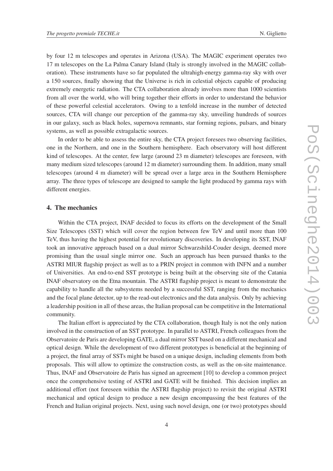by four 12 m telescopes and operates in Arizona (USA). The MAGIC experiment operates two 17 m telescopes on the La Palma Canary Island (Italy is strongly involved in the MAGIC collaboration). These instruments have so far populated the ultrahigh-energy gamma-ray sky with over a 150 sources, finally showing that the Universe is rich in celestial objects capable of producing extremely energetic radiation. The CTA collaboration already involves more than 1000 scientists from all over the world, who will bring together their efforts in order to understand the behavior of these powerful celestial accelerators. Owing to a tenfold increase in the number of detected sources, CTA will change our perception of the gamma-ray sky, unveiling hundreds of sources in our galaxy, such as black holes, supernova remnants, star forming regions, pulsars, and binary systems, as well as possible extragalactic sources.

In order to be able to assess the entire sky, the CTA project foresees two observing facilities, one in the Northern, and one in the Southern hemisphere. Each observatory will host different kind of telescopes. At the center, few large (around 23 m diameter) telescopes are foreseen, with many medium sized telescopes (around 12 m diameter) surrounding them. In addition, many small telescopes (around 4 m diameter) will be spread over a large area in the Southern Hemisphere array. The three types of telescope are designed to sample the light produced by gamma rays with different energies.

# 4. The mechanics

Within the CTA project, INAF decided to focus its efforts on the development of the Small Size Telescopes (SST) which will cover the region between few TeV and until more than 100 TeV, thus having the highest potential for revolutionary discoveries. In developing its SST, INAF took an innovative approach based on a dual mirror Schwarzshild-Couder design, deemed more promising than the usual single mirror one. Such an approach has been pursued thanks to the ASTRI MIUR flagship project as well as to a PRIN project in common with INFN and a number of Universities. An end-to-end SST prototype is being built at the observing site of the Catania INAF observatory on the Etna mountain. The ASTRI flagship project is meant to demonstrate the capability to handle all the subsystems needed by a successful SST, ranging from the mechanics and the focal plane detector, up to the read-out electronics and the data analysis. Only by achieving a leadership position in all of these areas, the Italian proposal can be competitive in the International community.

The Italian effort is appreciated by the CTA collaboration, though Italy is not the only nation involved in the construction of an SST prototype. In parallel to ASTRI, French colleagues from the Observatoire de Paris are developing GATE, a dual mirror SST based on a different mechanical and optical design. While the development of two different prototypes is beneficial at the beginning of a project, the final array of SSTs might be based on a unique design, including elements from both proposals. This will allow to optimize the construction costs, as well as the on-site maintenance. Thus, INAF and Observatoire de Paris has signed an agreement [10] to develop a common project once the comprehensive testing of ASTRI and GATE will be finished. This decision implies an additional effort (not foreseen within the ASTRI flagship project) to revisit the original ASTRI mechanical and optical design to produce a new design encompassing the best features of the French and Italian original projects. Next, using such novel design, one (or two) prototypes should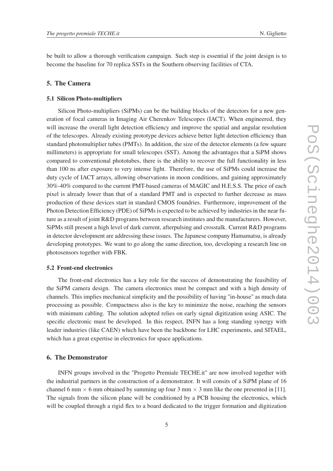be built to allow a thorough verification campaign. Such step is essential if the joint design is to become the baseline for 70 replica SSTs in the Southern observing facilities of CTA.

# 5. The Camera

#### 5.1 Silicon Photo-multipliers

Silicon Photo-multipliers (SiPMs) can be the building blocks of the detectors for a new generation of focal cameras in Imaging Air Cherenkov Telescopes (IACT). When engineered, they will increase the overall light detection efficiency and improve the spatial and angular resolution of the telescopes. Already existing prototype devices achieve better light detection efficiency than standard photomultiplier tubes (PMTs). In addition, the size of the detector elements (a few square millimeters) is appropriate for small telescopes (SST). Among the advantages that a SiPM shows compared to conventional phototubes, there is the ability to recover the full functionality in less than 100 ns after exposure to very intense light. Therefore, the use of SiPMs could increase the duty cycle of IACT arrays, allowing observations in moon conditions, and gaining approximately 30%-40% compared to the current PMT-based cameras of MAGIC and H.E.S.S. The price of each pixel is already lower than that of a standard PMT and is expected to further decrease as mass production of these devices start in standard CMOS foundries. Furthermore, improvement of the Photon Detection Efficiency (PDE) of SiPMs is expected to be achieved by industries in the near future as a result of joint R&D programs between research institutes and the manufacturers. However, SiPMs still present a high level of dark current, afterpulsing and crosstalk. Current R&D programs in detector development are addressing these issues. The Japanese company Hamamatsu, is already developing prototypes. We want to go along the same direction, too, developing a research line on photosensors together with FBK.

#### 5.2 Front-end electronics

The front-end electronics has a key role for the success of demonstrating the feasibility of the SiPM camera design. The camera electronics must be compact and with a high density of channels. This implies mechanical simplicity and the possibility of having "in-house" as much data processing as possible. Compactness also is the key to minimize the noise, reaching the sensors with minimum cabling. The solution adopted relies on early signal digitization using ASIC. The specific electronic must be developed. In this respect, INFN has a long standing synergy with leader industries (like CAEN) which have been the backbone for LHC experiments, and SITAEL, which has a great expertise in electronics for space applications.

## 6. The Demonstrator

INFN groups involved in the "Progetto Premiale TECHE.it" are now involved together with the industrial partners in the construction of a demonstrator. It will consits of a SiPM plane of 16 channel 6 mm  $\times$  6 mm obtained by summing up four 3 mm  $\times$  3 mm like the one presented in [11]. The signals from the silicon plane will be conditioned by a PCB housing the electronics, which will be coupled through a rigid flex to a board dedicated to the trigger formation and digitization